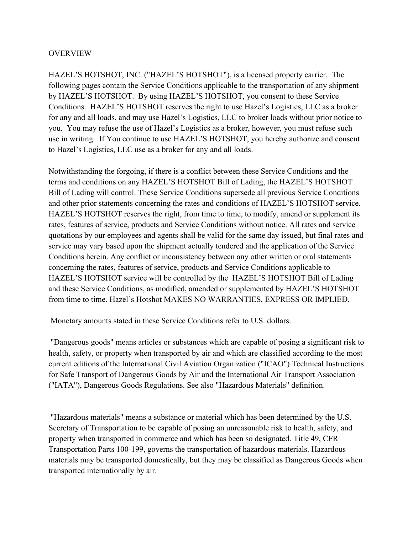### **OVERVIEW**

HAZEL'S HOTSHOT, INC. ("HAZEL'S HOTSHOT"), is a licensed property carrier. The following pages contain the Service Conditions applicable to the transportation of any shipment by HAZEL'S HOTSHOT. By using HAZEL'S HOTSHOT, you consent to these Service Conditions. HAZEL'S HOTSHOT reserves the right to use Hazel's Logistics, LLC as a broker for any and all loads, and may use Hazel's Logistics, LLC to broker loads without prior notice to you. You may refuse the use of Hazel's Logistics as a broker, however, you must refuse such use in writing. If You continue to use HAZEL'S HOTSHOT, you hereby authorize and consent to Hazel's Logistics, LLC use as a broker for any and all loads.

Notwithstanding the forgoing, if there is a conflict between these Service Conditions and the terms and conditions on any HAZEL'S HOTSHOT Bill of Lading, the HAZEL'S HOTSHOT Bill of Lading will control. These Service Conditions supersede all previous Service Conditions and other prior statements concerning the rates and conditions of HAZEL'S HOTSHOT service. HAZEL'S HOTSHOT reserves the right, from time to time, to modify, amend or supplement its rates, features of service, products and Service Conditions without notice. All rates and service quotations by our employees and agents shall be valid for the same day issued, but final rates and service may vary based upon the shipment actually tendered and the application of the Service Conditions herein. Any conflict or inconsistency between any other written or oral statements concerning the rates, features of service, products and Service Conditions applicable to HAZEL'S HOTSHOT service will be controlled by the HAZEL'S HOTSHOT Bill of Lading and these Service Conditions, as modified, amended or supplemented by HAZEL'S HOTSHOT from time to time. Hazel's Hotshot MAKES NO WARRANTIES, EXPRESS OR IMPLIED.

Monetary amounts stated in these Service Conditions refer to U.S. dollars.

"Dangerous goods" means articles or substances which are capable of posing a significant risk to health, safety, or property when transported by air and which are classified according to the most current editions of the International Civil Aviation Organization ("ICAO") Technical Instructions for Safe Transport of Dangerous Goods by Air and the International Air Transport Association ("IATA"), Dangerous Goods Regulations. See also "Hazardous Materials" definition.

"Hazardous materials" means a substance or material which has been determined by the U.S. Secretary of Transportation to be capable of posing an unreasonable risk to health, safety, and property when transported in commerce and which has been so designated. Title 49, CFR Transportation Parts 100-199, governs the transportation of hazardous materials. Hazardous materials may be transported domestically, but they may be classified as Dangerous Goods when transported internationally by air.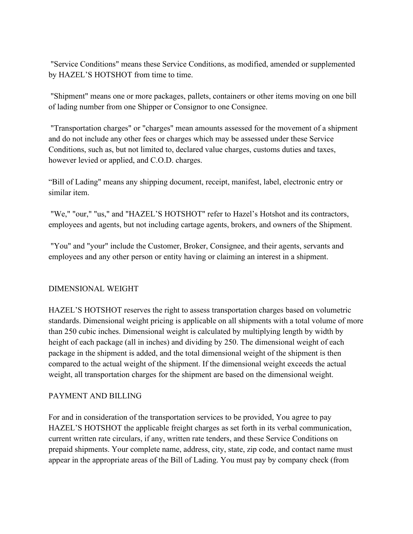"Service Conditions" means these Service Conditions, as modified, amended or supplemented by HAZEL'S HOTSHOT from time to time.

"Shipment" means one or more packages, pallets, containers or other items moving on one bill of lading number from one Shipper or Consignor to one Consignee.

"Transportation charges" or "charges" mean amounts assessed for the movement of a shipment and do not include any other fees or charges which may be assessed under these Service Conditions, such as, but not limited to, declared value charges, customs duties and taxes, however levied or applied, and C.O.D. charges.

"Bill of Lading" means any shipping document, receipt, manifest, label, electronic entry or similar item.

"We," "our," "us," and "HAZEL'S HOTSHOT" refer to Hazel's Hotshot and its contractors, employees and agents, but not including cartage agents, brokers, and owners of the Shipment.

"You" and "your" include the Customer, Broker, Consignee, and their agents, servants and employees and any other person or entity having or claiming an interest in a shipment.

## DIMENSIONAL WEIGHT

HAZEL'S HOTSHOT reserves the right to assess transportation charges based on volumetric standards. Dimensional weight pricing is applicable on all shipments with a total volume of more than 250 cubic inches. Dimensional weight is calculated by multiplying length by width by height of each package (all in inches) and dividing by 250. The dimensional weight of each package in the shipment is added, and the total dimensional weight of the shipment is then compared to the actual weight of the shipment. If the dimensional weight exceeds the actual weight, all transportation charges for the shipment are based on the dimensional weight.

## PAYMENT AND BILLING

For and in consideration of the transportation services to be provided, You agree to pay HAZEL'S HOTSHOT the applicable freight charges as set forth in its verbal communication, current written rate circulars, if any, written rate tenders, and these Service Conditions on prepaid shipments. Your complete name, address, city, state, zip code, and contact name must appear in the appropriate areas of the Bill of Lading. You must pay by company check (from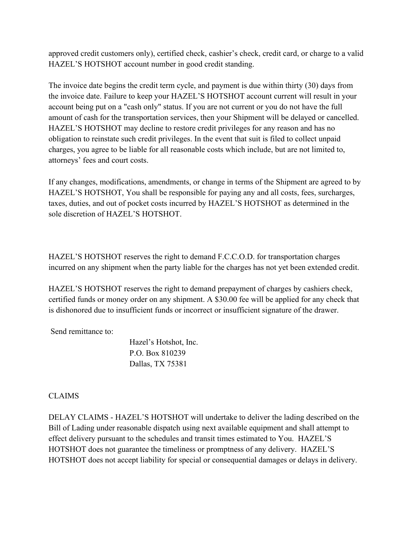approved credit customers only), certified check, cashier's check, credit card, or charge to a valid HAZEL'S HOTSHOT account number in good credit standing.

The invoice date begins the credit term cycle, and payment is due within thirty (30) days from the invoice date. Failure to keep your HAZEL'S HOTSHOT account current will result in your account being put on a "cash only" status. If you are not current or you do not have the full amount of cash for the transportation services, then your Shipment will be delayed or cancelled. HAZEL'S HOTSHOT may decline to restore credit privileges for any reason and has no obligation to reinstate such credit privileges. In the event that suit is filed to collect unpaid charges, you agree to be liable for all reasonable costs which include, but are not limited to, attorneys' fees and court costs.

If any changes, modifications, amendments, or change in terms of the Shipment are agreed to by HAZEL'S HOTSHOT, You shall be responsible for paying any and all costs, fees, surcharges, taxes, duties, and out of pocket costs incurred by HAZEL'S HOTSHOT as determined in the sole discretion of HAZEL'S HOTSHOT.

HAZEL'S HOTSHOT reserves the right to demand F.C.C.O.D. for transportation charges incurred on any shipment when the party liable for the charges has not yet been extended credit.

HAZEL'S HOTSHOT reserves the right to demand prepayment of charges by cashiers check, certified funds or money order on any shipment. A \$30.00 fee will be applied for any check that is dishonored due to insufficient funds or incorrect or insufficient signature of the drawer.

Send remittance to:

 Hazel's Hotshot, Inc. P.O. Box 810239 Dallas, TX 75381

## CLAIMS

DELAY CLAIMS - HAZEL'S HOTSHOT will undertake to deliver the lading described on the Bill of Lading under reasonable dispatch using next available equipment and shall attempt to effect delivery pursuant to the schedules and transit times estimated to You. HAZEL'S HOTSHOT does not guarantee the timeliness or promptness of any delivery. HAZEL'S HOTSHOT does not accept liability for special or consequential damages or delays in delivery.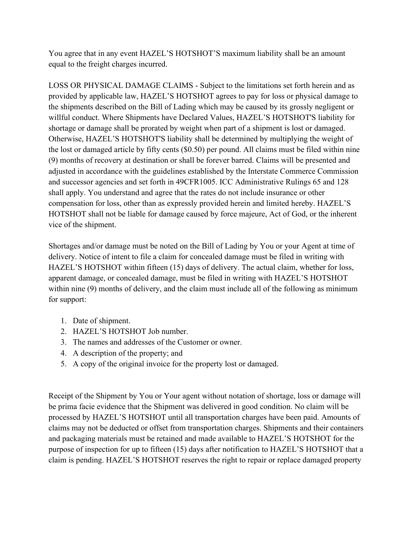You agree that in any event HAZEL'S HOTSHOT'S maximum liability shall be an amount equal to the freight charges incurred.

LOSS OR PHYSICAL DAMAGE CLAIMS - Subject to the limitations set forth herein and as provided by applicable law, HAZEL'S HOTSHOT agrees to pay for loss or physical damage to the shipments described on the Bill of Lading which may be caused by its grossly negligent or willful conduct. Where Shipments have Declared Values, HAZEL'S HOTSHOT'S liability for shortage or damage shall be prorated by weight when part of a shipment is lost or damaged. Otherwise, HAZEL'S HOTSHOT'S liability shall be determined by multiplying the weight of the lost or damaged article by fifty cents (\$0.50) per pound. All claims must be filed within nine (9) months of recovery at destination or shall be forever barred. Claims will be presented and adjusted in accordance with the guidelines established by the Interstate Commerce Commission and successor agencies and set forth in 49CFR1005. ICC Administrative Rulings 65 and 128 shall apply. You understand and agree that the rates do not include insurance or other compensation for loss, other than as expressly provided herein and limited hereby. HAZEL'S HOTSHOT shall not be liable for damage caused by force majeure, Act of God, or the inherent vice of the shipment.

Shortages and/or damage must be noted on the Bill of Lading by You or your Agent at time of delivery. Notice of intent to file a claim for concealed damage must be filed in writing with HAZEL'S HOTSHOT within fifteen (15) days of delivery. The actual claim, whether for loss, apparent damage, or concealed damage, must be filed in writing with HAZEL'S HOTSHOT within nine (9) months of delivery, and the claim must include all of the following as minimum for support:

- 1. Date of shipment.
- 2. HAZEL'S HOTSHOT Job number.
- 3. The names and addresses of the Customer or owner.
- 4. A description of the property; and
- 5. A copy of the original invoice for the property lost or damaged.

Receipt of the Shipment by You or Your agent without notation of shortage, loss or damage will be prima facie evidence that the Shipment was delivered in good condition. No claim will be processed by HAZEL'S HOTSHOT until all transportation charges have been paid. Amounts of claims may not be deducted or offset from transportation charges. Shipments and their containers and packaging materials must be retained and made available to HAZEL'S HOTSHOT for the purpose of inspection for up to fifteen (15) days after notification to HAZEL'S HOTSHOT that a claim is pending. HAZEL'S HOTSHOT reserves the right to repair or replace damaged property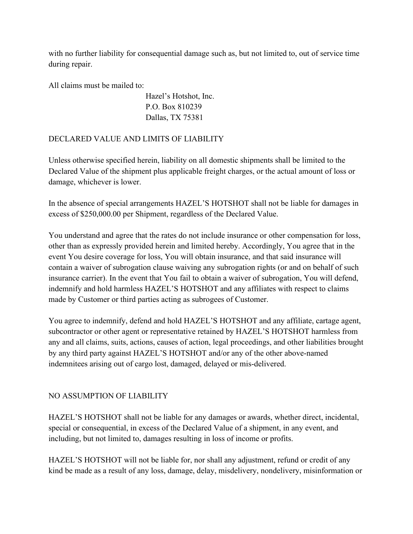with no further liability for consequential damage such as, but not limited to, out of service time during repair.

All claims must be mailed to:

 Hazel's Hotshot, Inc. P.O. Box 810239 Dallas, TX 75381

DECLARED VALUE AND LIMITS OF LIABILITY

Unless otherwise specified herein, liability on all domestic shipments shall be limited to the Declared Value of the shipment plus applicable freight charges, or the actual amount of loss or damage, whichever is lower.

In the absence of special arrangements HAZEL'S HOTSHOT shall not be liable for damages in excess of \$250,000.00 per Shipment, regardless of the Declared Value.

You understand and agree that the rates do not include insurance or other compensation for loss, other than as expressly provided herein and limited hereby. Accordingly, You agree that in the event You desire coverage for loss, You will obtain insurance, and that said insurance will contain a waiver of subrogation clause waiving any subrogation rights (or and on behalf of such insurance carrier). In the event that You fail to obtain a waiver of subrogation, You will defend, indemnify and hold harmless HAZEL'S HOTSHOT and any affiliates with respect to claims made by Customer or third parties acting as subrogees of Customer.

You agree to indemnify, defend and hold HAZEL'S HOTSHOT and any affiliate, cartage agent, subcontractor or other agent or representative retained by HAZEL'S HOTSHOT harmless from any and all claims, suits, actions, causes of action, legal proceedings, and other liabilities brought by any third party against HAZEL'S HOTSHOT and/or any of the other above-named indemnitees arising out of cargo lost, damaged, delayed or mis-delivered.

# NO ASSUMPTION OF LIABILITY

HAZEL'S HOTSHOT shall not be liable for any damages or awards, whether direct, incidental, special or consequential, in excess of the Declared Value of a shipment, in any event, and including, but not limited to, damages resulting in loss of income or profits.

HAZEL'S HOTSHOT will not be liable for, nor shall any adjustment, refund or credit of any kind be made as a result of any loss, damage, delay, misdelivery, nondelivery, misinformation or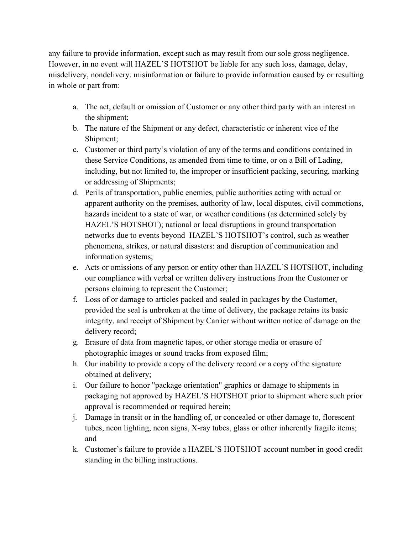any failure to provide information, except such as may result from our sole gross negligence. However, in no event will HAZEL'S HOTSHOT be liable for any such loss, damage, delay, misdelivery, nondelivery, misinformation or failure to provide information caused by or resulting in whole or part from:

- a. The act, default or omission of Customer or any other third party with an interest in the shipment;
- b. The nature of the Shipment or any defect, characteristic or inherent vice of the Shipment;
- c. Customer or third party's violation of any of the terms and conditions contained in these Service Conditions, as amended from time to time, or on a Bill of Lading, including, but not limited to, the improper or insufficient packing, securing, marking or addressing of Shipments;
- d. Perils of transportation, public enemies, public authorities acting with actual or apparent authority on the premises, authority of law, local disputes, civil commotions, hazards incident to a state of war, or weather conditions (as determined solely by HAZEL'S HOTSHOT); national or local disruptions in ground transportation networks due to events beyond HAZEL'S HOTSHOT's control, such as weather phenomena, strikes, or natural disasters: and disruption of communication and information systems;
- e. Acts or omissions of any person or entity other than HAZEL'S HOTSHOT, including our compliance with verbal or written delivery instructions from the Customer or persons claiming to represent the Customer;
- f. Loss of or damage to articles packed and sealed in packages by the Customer, provided the seal is unbroken at the time of delivery, the package retains its basic integrity, and receipt of Shipment by Carrier without written notice of damage on the delivery record;
- g. Erasure of data from magnetic tapes, or other storage media or erasure of photographic images or sound tracks from exposed film;
- h. Our inability to provide a copy of the delivery record or a copy of the signature obtained at delivery;
- i. Our failure to honor "package orientation" graphics or damage to shipments in packaging not approved by HAZEL'S HOTSHOT prior to shipment where such prior approval is recommended or required herein;
- j. Damage in transit or in the handling of, or concealed or other damage to, florescent tubes, neon lighting, neon signs, X-ray tubes, glass or other inherently fragile items; and
- k. Customer's failure to provide a HAZEL'S HOTSHOT account number in good credit standing in the billing instructions.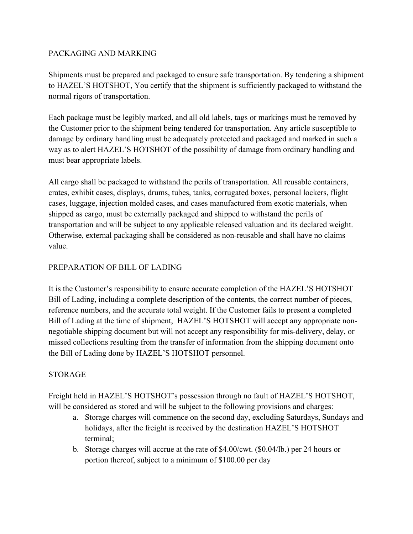# PACKAGING AND MARKING

Shipments must be prepared and packaged to ensure safe transportation. By tendering a shipment to HAZEL'S HOTSHOT, You certify that the shipment is sufficiently packaged to withstand the normal rigors of transportation.

Each package must be legibly marked, and all old labels, tags or markings must be removed by the Customer prior to the shipment being tendered for transportation. Any article susceptible to damage by ordinary handling must be adequately protected and packaged and marked in such a way as to alert HAZEL'S HOTSHOT of the possibility of damage from ordinary handling and must bear appropriate labels.

All cargo shall be packaged to withstand the perils of transportation. All reusable containers, crates, exhibit cases, displays, drums, tubes, tanks, corrugated boxes, personal lockers, flight cases, luggage, injection molded cases, and cases manufactured from exotic materials, when shipped as cargo, must be externally packaged and shipped to withstand the perils of transportation and will be subject to any applicable released valuation and its declared weight. Otherwise, external packaging shall be considered as non-reusable and shall have no claims value.

# PREPARATION OF BILL OF LADING

It is the Customer's responsibility to ensure accurate completion of the HAZEL'S HOTSHOT Bill of Lading, including a complete description of the contents, the correct number of pieces, reference numbers, and the accurate total weight. If the Customer fails to present a completed Bill of Lading at the time of shipment, HAZEL'S HOTSHOT will accept any appropriate nonnegotiable shipping document but will not accept any responsibility for mis-delivery, delay, or missed collections resulting from the transfer of information from the shipping document onto the Bill of Lading done by HAZEL'S HOTSHOT personnel.

## STORAGE

Freight held in HAZEL'S HOTSHOT's possession through no fault of HAZEL'S HOTSHOT, will be considered as stored and will be subject to the following provisions and charges:

- a. Storage charges will commence on the second day, excluding Saturdays, Sundays and holidays, after the freight is received by the destination HAZEL'S HOTSHOT terminal;
- b. Storage charges will accrue at the rate of \$4.00/cwt. (\$0.04/lb.) per 24 hours or portion thereof, subject to a minimum of \$100.00 per day